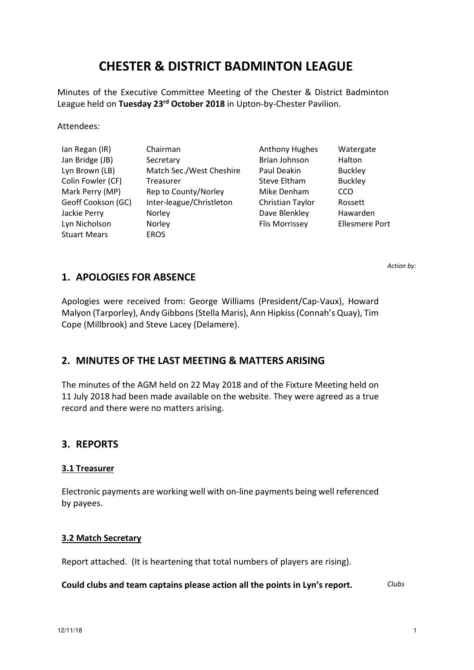# **CHESTER & DISTRICT BADMINTON LEAGUE**

Minutes of the Executive Committee Meeting of the Chester & District Badminton League held on **Tuesday 23rd October 2018** in Upton-by-Chester Pavilion.

Attendees:

| Ian Regan (IR)      | Chairman                 | <b>Anthony Hughes</b> | Watergate             |
|---------------------|--------------------------|-----------------------|-----------------------|
| Jan Bridge (JB)     | Secretary                | <b>Brian Johnson</b>  | Halton                |
| Lyn Brown (LB)      | Match Sec./West Cheshire | Paul Deakin           | <b>Buckley</b>        |
| Colin Fowler (CF)   | Treasurer                | Steve Eltham          | <b>Buckley</b>        |
| Mark Perry (MP)     | Rep to County/Norley     | Mike Denham           | CCO                   |
| Geoff Cookson (GC)  | Inter-league/Christleton | Christian Taylor      | Rossett               |
| Jackie Perry        | Norley                   | Dave Blenkley         | Hawarden              |
| Lyn Nicholson       | Norley                   | Flis Morrissey        | <b>Ellesmere Port</b> |
| <b>Stuart Mears</b> | <b>EROS</b>              |                       |                       |

*Action by:*

# **1. APOLOGIES FOR ABSENCE**

Apologies were received from: George Williams (President/Cap-Vaux), Howard Malyon (Tarporley), Andy Gibbons (Stella Maris), Ann Hipkiss (Connah's Quay), Tim Cope (Millbrook) and Steve Lacey (Delamere).

### **2. MINUTES OF THE LAST MEETING & MATTERS ARISING**

The minutes of the AGM held on 22 May 2018 and of the Fixture Meeting held on 11 July 2018 had been made available on the website. They were agreed as a true record and there were no matters arising.

### **3. REPORTS**

#### **3.1 Treasurer**

Electronic payments are working well with on-line payments being well referenced by payees.

#### **3.2 Match Secretary**

Report attached. (It is heartening that total numbers of players are rising).

**Could clubs and team captains please action all the points in Lyn's report.** *Clubs*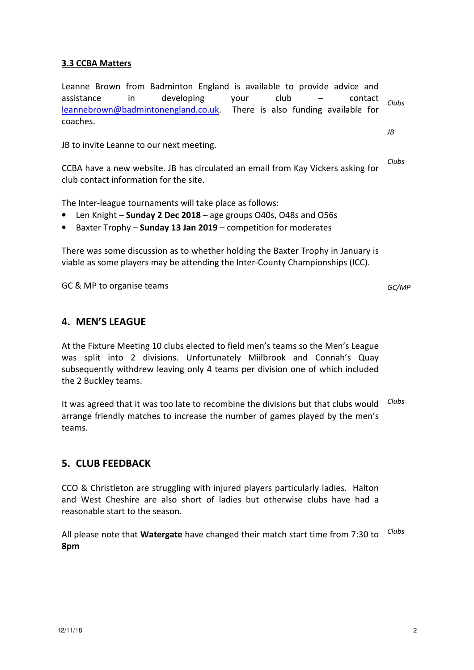### **3.3 CCBA Matters**

Leanne Brown from Badminton England is available to provide advice and assistance in developing your club – contact leannebrown@badmintonengland.co.uk. There is also funding available for coaches. *Clubs* 

JB to invite Leanne to our next meeting.

CCBA have a new website. JB has circulated an email from Kay Vickers asking for club contact information for the site.

The Inter-league tournaments will take place as follows:

- Len Knight **Sunday 2 Dec 2018** age groups O40s, O48s and O56s
- Baxter Trophy **Sunday 13 Jan 2019** competition for moderates

There was some discussion as to whether holding the Baxter Trophy in January is viable as some players may be attending the Inter-County Championships (ICC).

GC & MP to organise teams

*GC/MP*

*JB* 

*Clubs* 

# **4. MEN'S LEAGUE**

At the Fixture Meeting 10 clubs elected to field men's teams so the Men's League was split into 2 divisions. Unfortunately Miilbrook and Connah's Quay subsequently withdrew leaving only 4 teams per division one of which included the 2 Buckley teams.

It was agreed that it was too late to recombine the divisions but that clubs would arrange friendly matches to increase the number of games played by the men's teams. *Clubs* 

# **5. CLUB FEEDBACK**

CCO & Christleton are struggling with injured players particularly ladies. Halton and West Cheshire are also short of ladies but otherwise clubs have had a reasonable start to the season.

All please note that **Watergate** have changed their match start time from 7:30 to **8pm** *Clubs*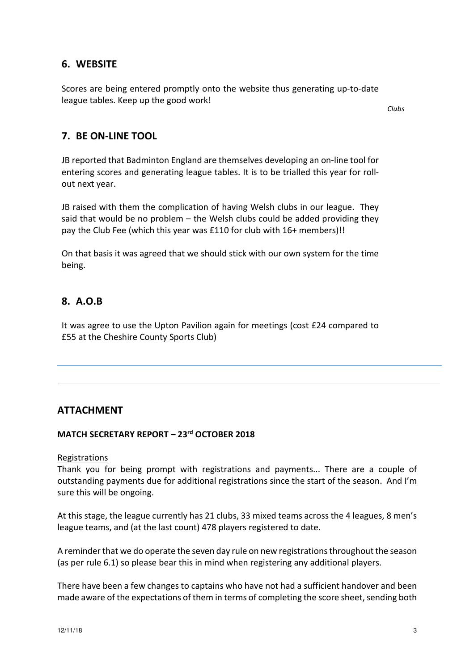### **6. WEBSITE**

Scores are being entered promptly onto the website thus generating up-to-date league tables. Keep up the good work!

*Clubs*

### **7. BE ON-LINE TOOL**

JB reported that Badminton England are themselves developing an on-line tool for entering scores and generating league tables. It is to be trialled this year for rollout next year.

JB raised with them the complication of having Welsh clubs in our league. They said that would be no problem – the Welsh clubs could be added providing they pay the Club Fee (which this year was £110 for club with 16+ members)!!

On that basis it was agreed that we should stick with our own system for the time being.

# **8. A.O.B**

It was agree to use the Upton Pavilion again for meetings (cost £24 compared to £55 at the Cheshire County Sports Club)

### **ATTACHMENT**

#### **MATCH SECRETARY REPORT – 23rd OCTOBER 2018**

#### Registrations

Thank you for being prompt with registrations and payments... There are a couple of outstanding payments due for additional registrations since the start of the season. And I'm sure this will be ongoing.

At this stage, the league currently has 21 clubs, 33 mixed teams across the 4 leagues, 8 men's league teams, and (at the last count) 478 players registered to date.

A reminder that we do operate the seven day rule on new registrations throughout the season (as per rule 6.1) so please bear this in mind when registering any additional players.

There have been a few changes to captains who have not had a sufficient handover and been made aware of the expectations of them in terms of completing the score sheet, sending both